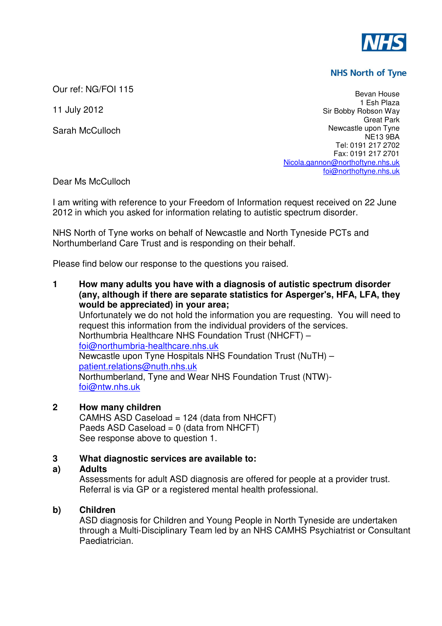

# **NHS North of Tyne**

Our ref: NG/FOI 115

11 July 2012

Sarah McCulloch

Bevan House 1 Esh Plaza Sir Bobby Robson Way Great Park Newcastle upon Tyne NE13 9BA Tel: 0191 217 2702 Fax: 0191 217 2701 Nicola.gannon@northoftyne.nhs.uk foi@northoftyne.nhs.uk

Dear Ms McCulloch

I am writing with reference to your Freedom of Information request received on 22 June 2012 in which you asked for information relating to autistic spectrum disorder.

NHS North of Tyne works on behalf of Newcastle and North Tyneside PCTs and Northumberland Care Trust and is responding on their behalf.

Please find below our response to the questions you raised.

**1 How many adults you have with a diagnosis of autistic spectrum disorder (any, although if there are separate statistics for Asperger's, HFA, LFA, they would be appreciated) in your area;**  Unfortunately we do not hold the information you are requesting. You will need to request this information from the individual providers of the services. Northumbria Healthcare NHS Foundation Trust (NHCFT) – foi@northumbria-healthcare.nhs.uk Newcastle upon Tyne Hospitals NHS Foundation Trust (NuTH) – patient.relations@nuth.nhs.uk Northumberland, Tyne and Wear NHS Foundation Trust (NTW) foi@ntw.nhs.uk

# **2 How many children**

CAMHS ASD Caseload = 124 (data from NHCFT) Paeds ASD Caseload =  $0$  (data from NHCFT) See response above to question 1.

## **3 What diagnostic services are available to:**

## **a) Adults**

Assessments for adult ASD diagnosis are offered for people at a provider trust. Referral is via GP or a registered mental health professional.

## **b) Children**

ASD diagnosis for Children and Young People in North Tyneside are undertaken through a Multi-Disciplinary Team led by an NHS CAMHS Psychiatrist or Consultant Paediatrician.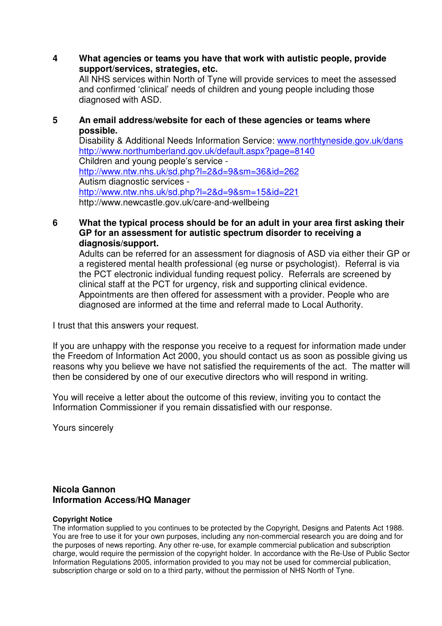**4 What agencies or teams you have that work with autistic people, provide support/services, strategies, etc.** 

All NHS services within North of Tyne will provide services to meet the assessed and confirmed 'clinical' needs of children and young people including those diagnosed with ASD.

## **5 An email address/website for each of these agencies or teams where possible.**

Disability & Additional Needs Information Service: www.northtyneside.gov.uk/dans http://www.northumberland.gov.uk/default.aspx?page=8140 Children and young people's service http://www.ntw.nhs.uk/sd.php?l=2&d=9&sm=36&id=262 Autism diagnostic services http://www.ntw.nhs.uk/sd.php?l=2&d=9&sm=15&id=221 http://www.newcastle.gov.uk/care-and-wellbeing

## **6 What the typical process should be for an adult in your area first asking their GP for an assessment for autistic spectrum disorder to receiving a diagnosis/support.**

Adults can be referred for an assessment for diagnosis of ASD via either their GP or a registered mental health professional (eg nurse or psychologist). Referral is via the PCT electronic individual funding request policy. Referrals are screened by clinical staff at the PCT for urgency, risk and supporting clinical evidence. Appointments are then offered for assessment with a provider. People who are diagnosed are informed at the time and referral made to Local Authority.

I trust that this answers your request.

If you are unhappy with the response you receive to a request for information made under the Freedom of Information Act 2000, you should contact us as soon as possible giving us reasons why you believe we have not satisfied the requirements of the act. The matter will then be considered by one of our executive directors who will respond in writing.

You will receive a letter about the outcome of this review, inviting you to contact the Information Commissioner if you remain dissatisfied with our response.

Yours sincerely

## **Nicola Gannon Information Access/HQ Manager**

#### **Copyright Notice**

The information supplied to you continues to be protected by the Copyright, Designs and Patents Act 1988. You are free to use it for your own purposes, including any non-commercial research you are doing and for the purposes of news reporting. Any other re-use, for example commercial publication and subscription charge, would require the permission of the copyright holder. In accordance with the Re-Use of Public Sector Information Regulations 2005, information provided to you may not be used for commercial publication, subscription charge or sold on to a third party, without the permission of NHS North of Tyne.